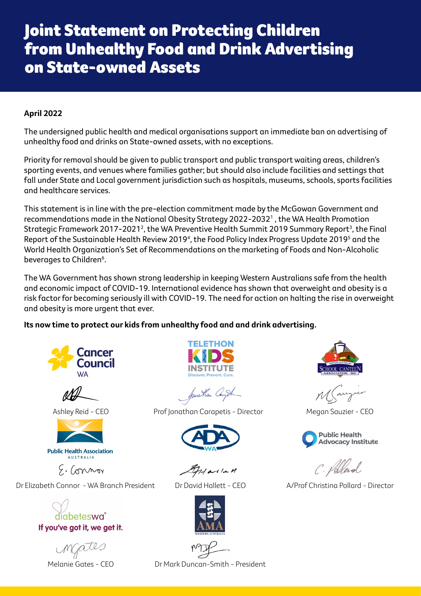## Joint Statement on Protecting Children from Unhealthy Food and Drink Advertising on State-owned Assets

## **April 2022**

The undersigned public health and medical organisations support an immediate ban on advertising of unhealthy food and drinks on State-owned assets, with no exceptions.

Priority for removal should be given to public transport and public transport waiting areas, children's sporting events, and venues where families gather; but should also include facilities and settings that fall under State and Local government jurisdiction such as hospitals, museums, schools, sports facilities and healthcare services.

This statement is in line with the pre-election commitment made by the McGowan Government and recommendations made in the National Obesity Strategy 2022-20321 , the WA Health Promotion Strategic Framework 2017-2021 $^{\rm 2}$ , the WA Preventive Health Summit 2019 Summary Report $^{\rm 3}$ , the Final Report of the Sustainable Health Review 20194 , the Food Policy Index Progress Update 20195 and the World Health Organization's Set of Recommendations on the marketing of Foods and Non-Alcoholic beverages to Children<sup>6</sup>.

The WA Government has shown strong leadership in keeping Western Australians safe from the health and economic impact of COVID-19. International evidence has shown that overweight and obesity is a risk factor for becoming seriously ill with COVID-19. The need for action on halting the rise in overweight and obesity is more urgent that ever.

**Its now time to protect our kids from unhealthy food and and drink advertising.**







E. Connor

Dr Elizabeth Connor - WA Branch President Dr David Hallett - CEO A/Prof Christina Pollard - Director

diabeteswa If you've got it, we get it.



Anallan Cempt

Ashley Reid - CEO **Prof Jonathan Carapetis - Director** Megan Sauzier - CEO



 $11$  alla H









C. Volland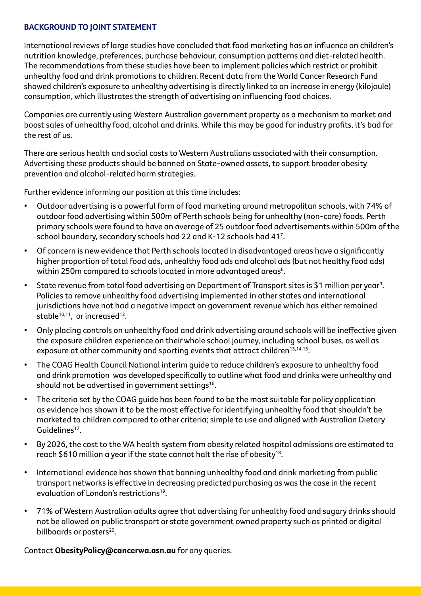## **BACKGROUND TO JOINT STATEMENT**

International reviews of large studies have concluded that food marketing has an influence on children's nutrition knowledge, preferences, purchase behaviour, consumption patterns and diet-related health. The recommendations from these studies have been to implement policies which restrict or prohibit unhealthy food and drink promotions to children. Recent data from the World Cancer Research Fund showed children's exposure to unhealthy advertising is directly linked to an increase in energy (kilojoule) consumption, which illustrates the strength of advertising on influencing food choices.

Companies are currently using Western Australian government property as a mechanism to market and boost sales of unhealthy food, alcohol and drinks. While this may be good for industry profits, it's bad for the rest of us.

There are serious health and social costs to Western Australians associated with their consumption. Advertising these products should be banned on State-owned assets, to support broader obesity prevention and alcohol-related harm strategies.

Further evidence informing our position at this time includes:

- Outdoor advertising is a powerful form of food marketing around metropolitan schools, with 74% of outdoor food advertising within 500m of Perth schools being for unhealthy (non-core) foods. Perth primary schools were found to have an average of 25 outdoor food advertisements within 500m of the school boundary, secondary schools had 22 and K-12 schools had 41<sup>7</sup>.
- Of concern is new evidence that Perth schools located in disadvantaged areas have a significantly higher proportion of total food ads, unhealthy food ads and alcohol ads (but not healthy food ads) within 250m compared to schools located in more advantaged areas $^{\rm 8}.$
- State revenue from total food advertising on Department of Transport sites is \$1 million per year<sup>9</sup>. Policies to remove unhealthy food advertising implemented in other states and international jurisdictions have not had a negative impact on government revenue which has either remained stable<sup>10,11</sup>, or increased<sup>12</sup>.
- Only placing controls on unhealthy food and drink advertising around schools will be ineffective given the exposure children experience on their whole school journey, including school buses, as well as exposure at other community and sporting events that attract children<sup>13,14,15</sup>.
- The COAG Health Council National interim guide to reduce children's exposure to unhealthy food and drink promotion was developed specifically to outline what food and drinks were unhealthy and should not be advertised in government settings<sup>16</sup>.
- The criteria set by the COAG quide has been found to be the most suitable for policy application as evidence has shown it to be the most effective for identifying unhealthy food that shouldn't be marketed to children compared to other criteria; simple to use and aligned with Australian Dietary Guidelines<sup>17</sup>.
- By 2026, the cost to the WA health system from obesity related hospital admissions are estimated to reach \$610 million a year if the state cannot halt the rise of obesity<sup>18</sup>.
- International evidence has shown that banning unhealthy food and drink marketing from public transport networks is effective in decreasing predicted purchasing as was the case in the recent evaluation of London's restrictions<sup>19</sup>
- 71% of Western Australian adults agree that advertising for unhealthy food and sugary drinks should not be allowed on public transport or state government owned property such as printed or digital billboards or posters<sup>20</sup>.

Contact **ObesityPolicy@cancerwa.asn.au** for any queries.